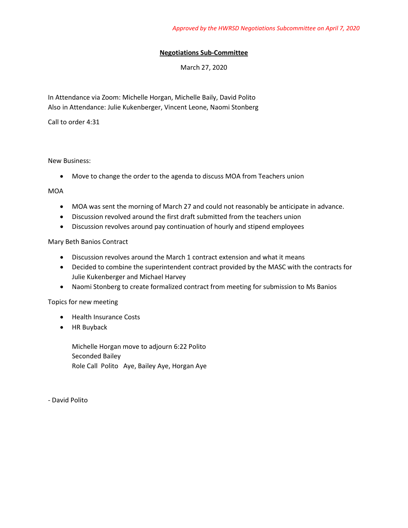## **Negotiations Sub-Committee**

March 27, 2020

In Attendance via Zoom: Michelle Horgan, Michelle Baily, David Polito Also in Attendance: Julie Kukenberger, Vincent Leone, Naomi Stonberg

Call to order 4:31

## New Business:

• Move to change the order to the agenda to discuss MOA from Teachers union

MOA

- MOA was sent the morning of March 27 and could not reasonably be anticipate in advance.
- Discussion revolved around the first draft submitted from the teachers union
- Discussion revolves around pay continuation of hourly and stipend employees

Mary Beth Banios Contract

- Discussion revolves around the March 1 contract extension and what it means
- Decided to combine the superintendent contract provided by the MASC with the contracts for Julie Kukenberger and Michael Harvey
- Naomi Stonberg to create formalized contract from meeting for submission to Ms Banios

Topics for new meeting

- Health Insurance Costs
- HR Buyback

Michelle Horgan move to adjourn 6:22 Polito Seconded Bailey Role Call Polito Aye, Bailey Aye, Horgan Aye

- David Polito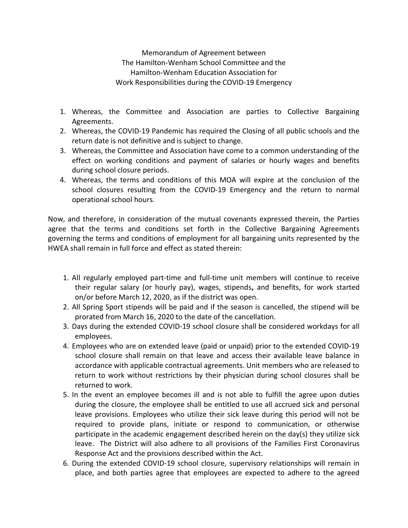Memorandum of Agreement between The Hamilton-Wenham School Committee and the Hamilton-Wenham Education Association for Work Responsibilities during the COVID-19 Emergency

- 1. Whereas, the Committee and Association are parties to Collective Bargaining Agreements.
- 2. Whereas, the COVID-19 Pandemic has required the Closing of all public schools and the return date is not definitive and is subject to change.
- 3. Whereas, the Committee and Association have come to a common understanding of the effect on working conditions and payment of salaries or hourly wages and benefits during school closure periods.
- 4. Whereas, the terms and conditions of this MOA will expire at the conclusion of the school closures resulting from the COVID-19 Emergency and the return to normal operational school hours.

Now, and therefore, in consideration of the mutual covenants expressed therein, the Parties agree that the terms and conditions set forth in the Collective Bargaining Agreements governing the terms and conditions of employment for all bargaining units represented by the HWEA shall remain in full force and effect as stated therein:

- 1. All regularly employed part-time and full-time unit members will continue to receive their regular salary (or hourly pay), wages, stipends, and benefits, for work started on/or before March 12, 2020, as if the district was open.
- 2. All Spring Sport stipends will be paid and if the season is cancelled, the stipend will be prorated from March 16, 2020 to the date of the cancellation.
- 3. Days during the extended COVID-19 school closure shall be considered workdays for all employees.
- 4. Employees who are on extended leave (paid or unpaid) prior to the extended COVID-19 school closure shall remain on that leave and access their available leave balance in accordance with applicable contractual agreements. Unit members who are released to return to work without restrictions by their physician during school closures shall be returned to work.
- 5. In the event an employee becomes ill and is not able to fulfill the agree upon duties during the closure, the employee shall be entitled to use all accrued sick and personal leave provisions. Employees who utilize their sick leave during this period will not be required to provide plans, initiate or respond to communication, or otherwise participate in the academic engagement described herein on the day(s) they utilize sick leave. The District will also adhere to all provisions of the Families First Coronavirus Response Act and the provisions described within the Act.
- 6. During the extended COVID-19 school closure, supervisory relationships will remain in place, and both parties agree that employees are expected to adhere to the agreed